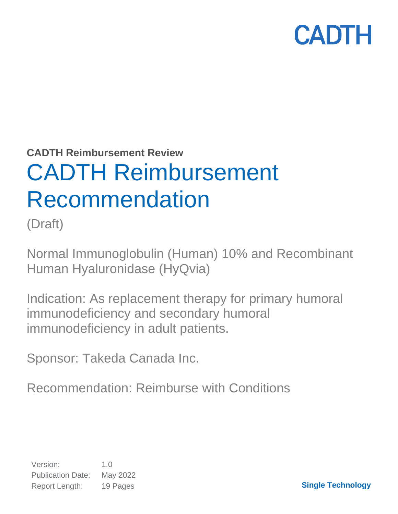**CADTH Reimbursement Review**

# CADTH Reimbursement Recommendation

(Draft)

Normal Immunoglobulin (Human) 10% and Recombinant Human Hyaluronidase (HyQvia)

Indication: As replacement therapy for primary humoral immunodeficiency and secondary humoral immunodeficiency in adult patients.

Sponsor: Takeda Canada Inc.

Recommendation: Reimburse with Conditions

**Single Technology**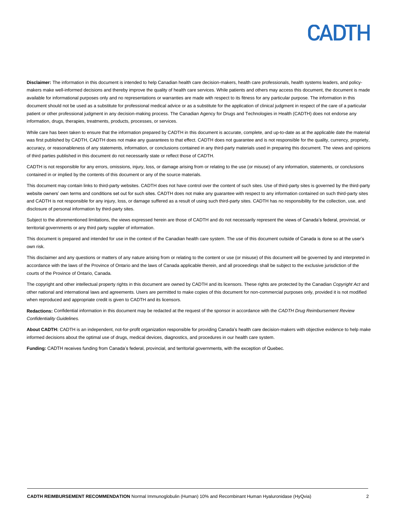**Disclaimer:** The information in this document is intended to help Canadian health care decision-makers, health care professionals, health systems leaders, and policymakers make well-informed decisions and thereby improve the quality of health care services. While patients and others may access this document, the document is made available for informational purposes only and no representations or warranties are made with respect to its fitness for any particular purpose. The information in this document should not be used as a substitute for professional medical advice or as a substitute for the application of clinical judgment in respect of the care of a particular patient or other professional judgment in any decision-making process. The Canadian Agency for Drugs and Technologies in Health (CADTH) does not endorse any information, drugs, therapies, treatments, products, processes, or services.

While care has been taken to ensure that the information prepared by CADTH in this document is accurate, complete, and up-to-date as at the applicable date the material was first published by CADTH, CADTH does not make any guarantees to that effect. CADTH does not guarantee and is not responsible for the quality, currency, propriety, accuracy, or reasonableness of any statements, information, or conclusions contained in any third-party materials used in preparing this document. The views and opinions of third parties published in this document do not necessarily state or reflect those of CADTH.

CADTH is not responsible for any errors, omissions, injury, loss, or damage arising from or relating to the use (or misuse) of any information, statements, or conclusions contained in or implied by the contents of this document or any of the source materials.

This document may contain links to third-party websites. CADTH does not have control over the content of such sites. Use of third-party sites is governed by the third-party website owners' own terms and conditions set out for such sites. CADTH does not make any guarantee with respect to any information contained on such third-party sites and CADTH is not responsible for any injury, loss, or damage suffered as a result of using such third-party sites. CADTH has no responsibility for the collection, use, and disclosure of personal information by third-party sites.

Subject to the aforementioned limitations, the views expressed herein are those of CADTH and do not necessarily represent the views of Canada's federal, provincial, or territorial governments or any third party supplier of information.

This document is prepared and intended for use in the context of the Canadian health care system. The use of this document outside of Canada is done so at the user's own risk.

This disclaimer and any questions or matters of any nature arising from or relating to the content or use (or misuse) of this document will be governed by and interpreted in accordance with the laws of the Province of Ontario and the laws of Canada applicable therein, and all proceedings shall be subject to the exclusive jurisdiction of the courts of the Province of Ontario, Canada.

The copyright and other intellectual property rights in this document are owned by CADTH and its licensors. These rights are protected by the Canadian *Copyright Act* and other national and international laws and agreements. Users are permitted to make copies of this document for non-commercial purposes only, provided it is not modified when reproduced and appropriate credit is given to CADTH and its licensors.

**Redactions:** Confidential information in this document may be redacted at the request of the sponsor in accordance with the *CADTH Drug Reimbursement Review Confidentiality Guidelines.*

**About CADTH:** CADTH is an independent, not-for-profit organization responsible for providing Canada's health care decision-makers with objective evidence to help make informed decisions about the optimal use of drugs, medical devices, diagnostics, and procedures in our health care system.

**Funding:** CADTH receives funding from Canada's federal, provincial, and territorial governments, with the exception of Quebec.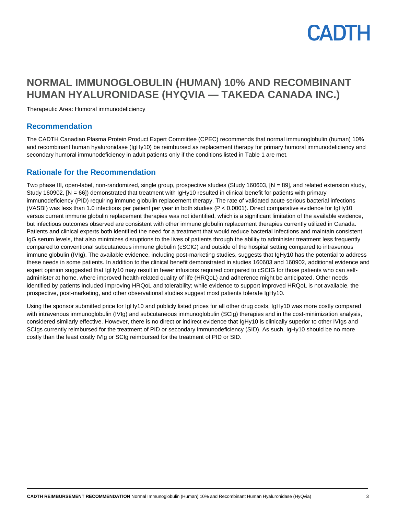

# **NORMAL IMMUNOGLOBULIN (HUMAN) 10% AND RECOMBINANT HUMAN HYALURONIDASE (HYQVIA — TAKEDA CANADA INC.)**

Therapeutic Area: Humoral immunodeficiency

### **Recommendation**

The CADTH Canadian Plasma Protein Product Expert Committee (CPEC) recommends that normal immunoglobulin (human) 10% and recombinant human hyaluronidase (IgHy10) be reimbursed as replacement therapy for primary humoral immunodeficiency and secondary humoral immunodeficiency in adult patients only if the conditions listed in [Table 1](#page-3-0) are met.

### **Rationale for the Recommendation**

Two phase III, open-label, non-randomized, single group, prospective studies (Study 160603, [N = 89], and related extension study, Study 160902, [N = 66]) demonstrated that treatment with IgHy10 resulted in clinical benefit for patients with primary immunodeficiency (PID) requiring immune globulin replacement therapy. The rate of validated acute serious bacterial infections (VASBI) was less than 1.0 infections per patient per year in both studies (P < 0.0001). Direct comparative evidence for IgHy10 versus current immune globulin replacement therapies was not identified, which is a significant limitation of the available evidence, but infectious outcomes observed are consistent with other immune globulin replacement therapies currently utilized in Canada. Patients and clinical experts both identified the need for a treatment that would reduce bacterial infections and maintain consistent IgG serum levels, that also minimizes disruptions to the lives of patients through the ability to administer treatment less frequently compared to conventional subcutaneous immune globulin (cSCIG) and outside of the hospital setting compared to intravenous immune globulin (IVIg). The available evidence, including post-marketing studies, suggests that IgHy10 has the potential to address these needs in some patients. In addition to the clinical benefit demonstrated in studies 160603 and 160902, additional evidence and expert opinion suggested that IgHy10 may result in fewer infusions required compared to cSCIG for those patients who can selfadminister at home, where improved health-related quality of life (HRQoL) and adherence might be anticipated. Other needs identified by patients included improving HRQoL and tolerability; while evidence to support improved HRQoL is not available, the prospective, post-marketing, and other observational studies suggest most patients tolerate IgHy10.

Using the sponsor submitted price for IgHy10 and publicly listed prices for all other drug costs, IgHy10 was more costly compared with intravenous immunoglobulin (IVIg) and subcutaneous immunoglobulin (SCIg) therapies and in the cost-minimization analysis, considered similarly effective. However, there is no direct or indirect evidence that IgHy10 is clinically superior to other IVIgs and SCIgs currently reimbursed for the treatment of PID or secondary immunodeficiency (SID). As such, IgHy10 should be no more costly than the least costly IVIg or SCIg reimbursed for the treatment of PID or SID.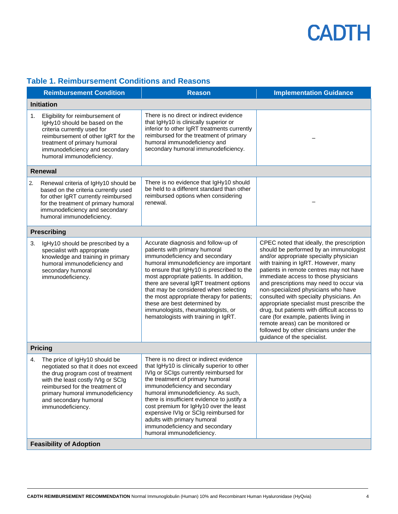# <span id="page-3-0"></span>**Table 1. Reimbursement Conditions and Reasons**

|                                | <b>Reimbursement Condition</b>                                                                                                                                                                                                                                          | <b>Reason</b>                                                                                                                                                                                                                                                                                                                                                                                                                                                                              | <b>Implementation Guidance</b>                                                                                                                                                                                                                                                                                                                                                                                                                                                                                                                                                                                                           |
|--------------------------------|-------------------------------------------------------------------------------------------------------------------------------------------------------------------------------------------------------------------------------------------------------------------------|--------------------------------------------------------------------------------------------------------------------------------------------------------------------------------------------------------------------------------------------------------------------------------------------------------------------------------------------------------------------------------------------------------------------------------------------------------------------------------------------|------------------------------------------------------------------------------------------------------------------------------------------------------------------------------------------------------------------------------------------------------------------------------------------------------------------------------------------------------------------------------------------------------------------------------------------------------------------------------------------------------------------------------------------------------------------------------------------------------------------------------------------|
| <b>Initiation</b>              |                                                                                                                                                                                                                                                                         |                                                                                                                                                                                                                                                                                                                                                                                                                                                                                            |                                                                                                                                                                                                                                                                                                                                                                                                                                                                                                                                                                                                                                          |
| 1.                             | Eligibility for reimbursement of<br>IgHy10 should be based on the<br>criteria currently used for<br>reimbursement of other IgRT for the<br>treatment of primary humoral<br>immunodeficiency and secondary<br>humoral immunodeficiency.                                  | There is no direct or indirect evidence<br>that IgHy10 is clinically superior or<br>inferior to other IgRT treatments currently<br>reimbursed for the treatment of primary<br>humoral immunodeficiency and<br>secondary humoral immunodeficiency.                                                                                                                                                                                                                                          |                                                                                                                                                                                                                                                                                                                                                                                                                                                                                                                                                                                                                                          |
|                                | <b>Renewal</b>                                                                                                                                                                                                                                                          |                                                                                                                                                                                                                                                                                                                                                                                                                                                                                            |                                                                                                                                                                                                                                                                                                                                                                                                                                                                                                                                                                                                                                          |
| 2.                             | Renewal criteria of IgHy10 should be<br>based on the criteria currently used<br>for other IgRT currently reimbursed<br>for the treatment of primary humoral<br>immunodeficiency and secondary<br>humoral immunodeficiency.                                              | There is no evidence that IgHy10 should<br>be held to a different standard than other<br>reimbursed options when considering<br>renewal.                                                                                                                                                                                                                                                                                                                                                   |                                                                                                                                                                                                                                                                                                                                                                                                                                                                                                                                                                                                                                          |
|                                | <b>Prescribing</b>                                                                                                                                                                                                                                                      |                                                                                                                                                                                                                                                                                                                                                                                                                                                                                            |                                                                                                                                                                                                                                                                                                                                                                                                                                                                                                                                                                                                                                          |
| 3.                             | IgHy10 should be prescribed by a<br>specialist with appropriate<br>knowledge and training in primary<br>humoral immunodeficiency and<br>secondary humoral<br>immunodeficiency.                                                                                          | Accurate diagnosis and follow-up of<br>patients with primary humoral<br>immunodeficiency and secondary<br>humoral immunodeficiency are important<br>to ensure that IgHy10 is prescribed to the<br>most appropriate patients. In addition,<br>there are several IgRT treatment options<br>that may be considered when selecting<br>the most appropriate therapy for patients;<br>these are best determined by<br>immunologists, rheumatologists, or<br>hematologists with training in IgRT. | CPEC noted that ideally, the prescription<br>should be performed by an immunologist<br>and/or appropriate specialty physician<br>with training in IgRT. However, many<br>patients in remote centres may not have<br>immediate access to those physicians<br>and prescriptions may need to occur via<br>non-specialized physicians who have<br>consulted with specialty physicians. An<br>appropriate specialist must prescribe the<br>drug, but patients with difficult access to<br>care (for example, patients living in<br>remote areas) can be monitored or<br>followed by other clinicians under the<br>guidance of the specialist. |
|                                | <b>Pricing</b>                                                                                                                                                                                                                                                          |                                                                                                                                                                                                                                                                                                                                                                                                                                                                                            |                                                                                                                                                                                                                                                                                                                                                                                                                                                                                                                                                                                                                                          |
| 4.                             | The price of IgHy10 should be<br>negotiated so that it does not exceed<br>the drug program cost of treatment<br>with the least costly IVIg or SCIg<br>reimbursed for the treatment of<br>primary humoral immunodeficiency<br>and secondary humoral<br>immunodeficiency. | There is no direct or indirect evidence<br>that IgHy10 is clinically superior to other<br>IVIg or SCIgs currently reimbursed for<br>the treatment of primary humoral<br>immunodeficiency and secondary<br>humoral immunodeficiency. As such,<br>there is insufficient evidence to justify a<br>cost premium for IgHy10 over the least<br>expensive IVIg or SCIg reimbursed for<br>adults with primary humoral<br>immunodeficiency and secondary<br>humoral immunodeficiency.               |                                                                                                                                                                                                                                                                                                                                                                                                                                                                                                                                                                                                                                          |
| <b>Feasibility of Adoption</b> |                                                                                                                                                                                                                                                                         |                                                                                                                                                                                                                                                                                                                                                                                                                                                                                            |                                                                                                                                                                                                                                                                                                                                                                                                                                                                                                                                                                                                                                          |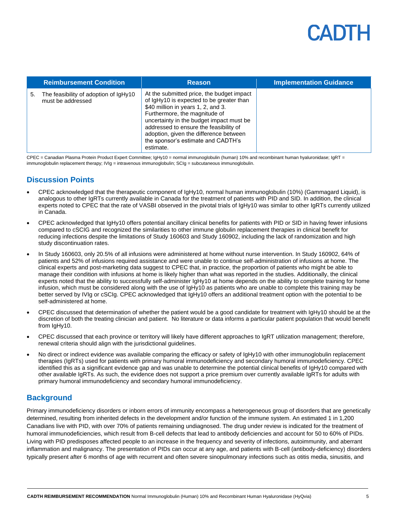|    | <b>Reimbursement Condition</b>                             | <b>Reason</b>                                                                                                                                                                                                                                                                                                                                   | <b>Implementation Guidance</b> |
|----|------------------------------------------------------------|-------------------------------------------------------------------------------------------------------------------------------------------------------------------------------------------------------------------------------------------------------------------------------------------------------------------------------------------------|--------------------------------|
| 5. | The feasibility of adoption of IgHy10<br>must be addressed | At the submitted price, the budget impact<br>of IgHy10 is expected to be greater than<br>\$40 million in years 1, 2, and 3.<br>Furthermore, the magnitude of<br>uncertainty in the budget impact must be<br>addressed to ensure the feasibility of<br>adoption, given the difference between<br>the sponsor's estimate and CADTH's<br>estimate. |                                |

CPEC = Canadian Plasma Protein Product Expert Committee; IgHy10 = normal immunoglobulin (human) 10% and recombinant human hyaluronidase; IgRT = immunoglobulin replacement therapy; IVIg = intravenous immunoglobulin; SCIg = subcutaneous immunoglobulin.

## **Discussion Points**

- CPEC acknowledged that the therapeutic component of IgHy10, normal human immunoglobulin (10%) (Gammagard Liquid), is analogous to other IgRTs currently available in Canada for the treatment of patients with PID and SID. In addition, the clinical experts noted to CPEC that the rate of VASBI observed in the pivotal trials of IgHy10 was similar to other IgRTs currently utilized in Canada.
- CPEC acknowledged that IgHy10 offers potential ancillary clinical benefits for patients with PID or SID in having fewer infusions compared to cSCIG and recognized the similarities to other immune globulin replacement therapies in clinical benefit for reducing infections despite the limitations of Study 160603 and Study 160902, including the lack of randomization and high study discontinuation rates.
- In Study 160603, only 20.5% of all infusions were administered at home without nurse intervention. In Study 160902, 64% of patients and 52% of infusions required assistance and were unable to continue self-administration of infusions at home. The clinical experts and post-marketing data suggest to CPEC that, in practice, the proportion of patients who might be able to manage their condition with infusions at home is likely higher than what was reported in the studies. Additionally, the clinical experts noted that the ability to successfully self-administer IgHy10 at home depends on the ability to complete training for home infusion, which must be considered along with the use of IgHy10 as patients who are unable to complete this training may be better served by IVIg or cSCIg. CPEC acknowledged that IgHy10 offers an additional treatment option with the potential to be self-administered at home.
- CPEC discussed that determination of whether the patient would be a good candidate for treatment with IgHy10 should be at the discretion of both the treating clinician and patient. No literature or data informs a particular patient population that would benefit from IgHy10.
- CPEC discussed that each province or territory will likely have different approaches to IgRT utilization management; therefore, renewal criteria should align with the jurisdictional guidelines.
- No direct or indirect evidence was available comparing the efficacy or safety of IgHy10 with other immunoglobulin replacement therapies (IgRTs) used for patients with primary humoral immunodeficiency and secondary humoral immunodeficiency. CPEC identified this as a significant evidence gap and was unable to determine the potential clinical benefits of IgHy10 compared with other available IgRTs. As such, the evidence does not support a price premium over currently available IgRTs for adults with primary humoral immunodeficiency and secondary humoral immunodeficiency.

## **Background**

Primary immunodeficiency disorders or inborn errors of immunity encompass a heterogeneous group of disorders that are genetically determined, resulting from inherited defects in the development and/or function of the immune system. An estimated 1 in 1,200 Canadians live with PID, with over 70% of patients remaining undiagnosed. The drug under review is indicated for the treatment of humoral immunodeficiencies, which result from B-cell defects that lead to antibody deficiencies and account for 50 to 60% of PIDs. Living with PID predisposes affected people to an increase in the frequency and severity of infections, autoimmunity, and aberrant inflammation and malignancy. The presentation of PIDs can occur at any age, and patients with B-cell (antibody-deficiency) disorders typically present after 6 months of age with recurrent and often severe sinopulmonary infections such as otitis media, sinusitis, and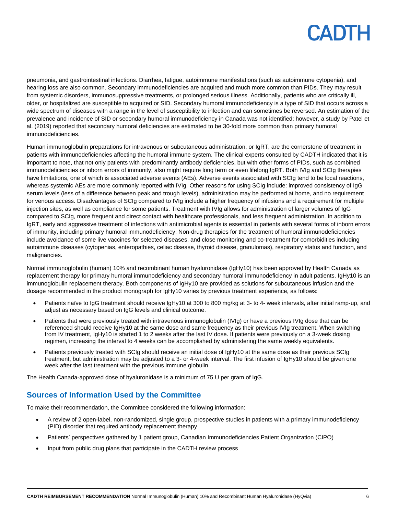pneumonia, and gastrointestinal infections. Diarrhea, fatigue, autoimmune manifestations (such as autoimmune cytopenia), and hearing loss are also common. Secondary immunodeficiencies are acquired and much more common than PIDs. They may result from systemic disorders, immunosuppressive treatments, or prolonged serious illness. Additionally, patients who are critically ill, older, or hospitalized are susceptible to acquired or SID. Secondary humoral immunodeficiency is a type of SID that occurs across a wide spectrum of diseases with a range in the level of susceptibility to infection and can sometimes be reversed. An estimation of the prevalence and incidence of SID or secondary humoral immunodeficiency in Canada was not identified; however, a study by Patel et al. (2019) reported that secondary humoral deficiencies are estimated to be 30-fold more common than primary humoral immunodeficiencies.

Human immunoglobulin preparations for intravenous or subcutaneous administration, or IgRT, are the cornerstone of treatment in patients with immunodeficiencies affecting the humoral immune system. The clinical experts consulted by CADTH indicated that it is important to note, that not only patients with predominantly antibody deficiencies, but with other forms of PIDs, such as combined immunodeficiencies or inborn errors of immunity, also might require long term or even lifelong IgRT. Both IVIg and SCIg therapies have limitations, one of which is associated adverse events (AEs). Adverse events associated with SCIg tend to be local reactions, whereas systemic AEs are more commonly reported with IVIg. Other reasons for using SCIg include: improved consistency of IgG serum levels (less of a difference between peak and trough levels), administration may be performed at home, and no requirement for venous access. Disadvantages of SCIg compared to IVIg include a higher frequency of infusions and a requirement for multiple injection sites, as well as compliance for some patients. Treatment with IVIg allows for administration of larger volumes of IgG compared to SCIg, more frequent and direct contact with healthcare professionals, and less frequent administration. In addition to IgRT, early and aggressive treatment of infections with antimicrobial agents is essential in patients with several forms of inborn errors of immunity, including primary humoral immunodeficiency. Non-drug therapies for the treatment of humoral immunodeficiencies include avoidance of some live vaccines for selected diseases, and close monitoring and co-treatment for comorbidities including autoimmune diseases (cytopenias, enteropathies, celiac disease, thyroid disease, granulomas), respiratory status and function, and malignancies.

Normal immunoglobulin (human) 10% and recombinant human hyaluronidase (IgHy10) has been approved by Health Canada as replacement therapy for primary humoral immunodeficiency and secondary humoral immunodeficiency in adult patients. IgHy10 is an immunoglobulin replacement therapy. Both components of IgHy10 are provided as solutions for subcutaneous infusion and the dosage recommended in the product monograph for IgHy10 varies by previous treatment experience, as follows:

- Patients naïve to IgG treatment should receive IgHy10 at 300 to 800 mg/kg at 3- to 4- week intervals, after initial ramp-up, and adjust as necessary based on IgG levels and clinical outcome.
- Patients that were previously treated with intravenous immunoglobulin (IVIg) or have a previous IVIg dose that can be referenced should receive IgHy10 at the same dose and same frequency as their previous IVIg treatment. When switching from IV treatment, IgHy10 is started 1 to 2 weeks after the last IV dose. If patients were previously on a 3-week dosing regimen, increasing the interval to 4 weeks can be accomplished by administering the same weekly equivalents.
- Patients previously treated with SCIg should receive an initial dose of IgHy10 at the same dose as their previous SCIg treatment, but administration may be adjusted to a 3- or 4-week interval. The first infusion of IgHy10 should be given one week after the last treatment with the previous immune globulin.

The Health Canada-approved dose of hyaluronidase is a minimum of 75 U per gram of IgG.

## **Sources of Information Used by the Committee**

To make their recommendation, the Committee considered the following information:

- A review of 2 open-label, non-randomized, single group, prospective studies in patients with a primary immunodeficiency (PID) disorder that required antibody replacement therapy
- Patients' perspectives gathered by 1 patient group, Canadian Immunodeficiencies Patient Organization (CIPO)
- Input from public drug plans that participate in the CADTH review process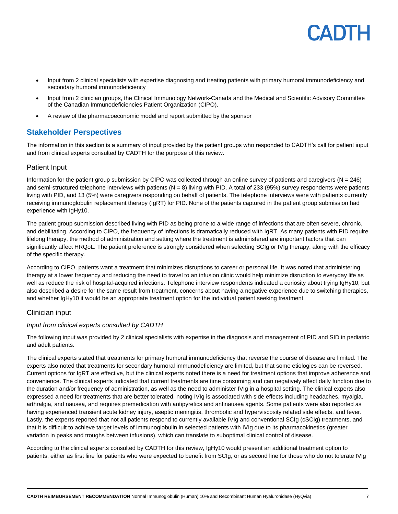

- Input from 2 clinical specialists with expertise diagnosing and treating patients with primary humoral immunodeficiency and secondary humoral immunodeficiency
- Input from 2 clinician groups, the Clinical Immunology Network-Canada and the Medical and Scientific Advisory Committee of the Canadian Immunodeficiencies Patient Organization (CIPO).
- A review of the pharmacoeconomic model and report submitted by the sponsor

## **Stakeholder Perspectives**

The information in this section is a summary of input provided by the patient groups who responded to CADTH's call for patient input and from clinical experts consulted by CADTH for the purpose of this review.

### Patient Input

Information for the patient group submission by CIPO was collected through an online survey of patients and caregivers (N = 246) and semi-structured telephone interviews with patients  $(N = 8)$  living with PID. A total of 233 (95%) survey respondents were patients living with PID, and 13 (5%) were caregivers responding on behalf of patients. The telephone interviews were with patients currently receiving immunoglobulin replacement therapy (IgRT) for PID. None of the patients captured in the patient group submission had experience with IgHy10.

The patient group submission described living with PID as being prone to a wide range of infections that are often severe, chronic, and debilitating. According to CIPO, the frequency of infections is dramatically reduced with IgRT. As many patients with PID require lifelong therapy, the method of administration and setting where the treatment is administered are important factors that can significantly affect HRQoL. The patient preference is strongly considered when selecting SCIg or IVIg therapy, along with the efficacy of the specific therapy.

According to CIPO, patients want a treatment that minimizes disruptions to career or personal life. It was noted that administering therapy at a lower frequency and reducing the need to travel to an infusion clinic would help minimize disruption to everyday life as well as reduce the risk of hospital-acquired infections. Telephone interview respondents indicated a curiosity about trying IgHy10, but also described a desire for the same result from treatment, concerns about having a negative experience due to switching therapies, and whether IgHy10 it would be an appropriate treatment option for the individual patient seeking treatment.

### Clinician input

### *Input from clinical experts consulted by CADTH*

The following input was provided by 2 clinical specialists with expertise in the diagnosis and management of PID and SID in pediatric and adult patients.

The clinical experts stated that treatments for primary humoral immunodeficiency that reverse the course of disease are limited. The experts also noted that treatments for secondary humoral immunodeficiency are limited, but that some etiologies can be reversed. Current options for IgRT are effective, but the clinical experts noted there is a need for treatment options that improve adherence and convenience. The clinical experts indicated that current treatments are time consuming and can negatively affect daily function due to the duration and/or frequency of administration, as well as the need to administer IVIg in a hospital setting. The clinical experts also expressed a need for treatments that are better tolerated, noting IVIg is associated with side effects including headaches, myalgia, arthralgia, and nausea, and requires premedication with antipyretics and antinausea agents. Some patients were also reported as having experienced transient acute kidney injury, aseptic meningitis, thrombotic and hyperviscosity related side effects, and fever. Lastly, the experts reported that not all patients respond to currently available IVIg and conventional SCIg (cSCIg) treatments, and that it is difficult to achieve target levels of immunoglobulin in selected patients with IVIg due to its pharmacokinetics (greater variation in peaks and troughs between infusions), which can translate to suboptimal clinical control of disease.

According to the clinical experts consulted by CADTH for this review, IgHy10 would present an additional treatment option to patients, either as first line for patients who were expected to benefit from SCIg, or as second line for those who do not tolerate IVIg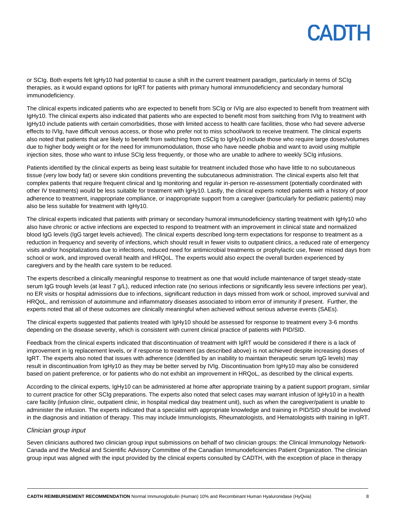or SCIg. Both experts felt IgHy10 had potential to cause a shift in the current treatment paradigm, particularly in terms of SCIg therapies, as it would expand options for IgRT for patients with primary humoral immunodeficiency and secondary humoral immunodeficiency.

The clinical experts indicated patients who are expected to benefit from SCIg or IVIg are also expected to benefit from treatment with IgHy10. The clinical experts also indicated that patients who are expected to benefit most from switching from IVIg to treatment with IgHy10 include patients with certain comorbidities, those with limited access to health care facilities, those who had severe adverse effects to IVIg, have difficult venous access, or those who prefer not to miss school/work to receive treatment. The clinical experts also noted that patients that are likely to benefit from switching from cSCIg to IgHy10 include those who require large doses/volumes due to higher body weight or for the need for immunomodulation, those who have needle phobia and want to avoid using multiple injection sites, those who want to infuse SCIg less frequently, or those who are unable to adhere to weekly SCIg infusions.

Patients identified by the clinical experts as being least suitable for treatment included those who have little to no subcutaneous tissue (very low body fat) or severe skin conditions preventing the subcutaneous administration. The clinical experts also felt that complex patients that require frequent clinical and Ig monitoring and regular in-person re-assessment (potentially coordinated with other IV treatments) would be less suitable for treatment with IgHy10. Lastly, the clinical experts noted patients with a history of poor adherence to treatment, inappropriate compliance, or inappropriate support from a caregiver (particularly for pediatric patients) may also be less suitable for treatment with IgHy10.

The clinical experts indicated that patients with primary or secondary humoral immunodeficiency starting treatment with IgHy10 who also have chronic or active infections are expected to respond to treatment with an improvement in clinical state and normalized blood IgG levels (IgG target levels achieved). The clinical experts described long-term expectations for response to treatment as a reduction in frequency and severity of infections, which should result in fewer visits to outpatient clinics, a reduced rate of emergency visits and/or hospitalizations due to infections, reduced need for antimicrobial treatments or prophylactic use, fewer missed days from school or work, and improved overall health and HRQoL. The experts would also expect the overall burden experienced by caregivers and by the health care system to be reduced.

The experts described a clinically meaningful response to treatment as one that would include maintenance of target steady-state serum IgG trough levels (at least 7 g/L), reduced infection rate (no serious infections or significantly less severe infections per year), no ER visits or hospital admissions due to infections, significant reduction in days missed from work or school, improved survival and HRQoL, and remission of autoimmune and inflammatory diseases associated to inborn error of immunity if present. Further, the experts noted that all of these outcomes are clinically meaningful when achieved without serious adverse events (SAEs).

The clinical experts suggested that patients treated with IgHy10 should be assessed for response to treatment every 3-6 months depending on the disease severity, which is consistent with current clinical practice of patients with PID/SID.

Feedback from the clinical experts indicated that discontinuation of treatment with IgRT would be considered if there is a lack of improvement in Ig replacement levels, or if response to treatment (as described above) is not achieved despite increasing doses of IgRT. The experts also noted that issues with adherence (identified by an inability to maintain therapeutic serum IgG levels) may result in discontinuation from IgHy10 as they may be better served by IVIg. Discontinuation from IgHy10 may also be considered based on patient preference, or for patients who do not exhibit an improvement in HRQoL, as described by the clinical experts.

According to the clinical experts, IgHy10 can be administered at home after appropriate training by a patient support program, similar to current practice for other SCIg preparations. The experts also noted that select cases may warrant infusion of IgHy10 in a health care facility (infusion clinic, outpatient clinic, in hospital medical day treatment unit), such as when the caregiver/patient is unable to administer the infusion. The experts indicated that a specialist with appropriate knowledge and training in PID/SID should be involved in the diagnosis and initiation of therapy. This may include Immunologists, Rheumatologists, and Hematologists with training in IgRT.

#### *Clinician group input*

Seven clinicians authored two clinician group input submissions on behalf of two clinician groups: the Clinical Immunology Network-Canada and the Medical and Scientific Advisory Committee of the Canadian Immunodeficiencies Patient Organization. The clinician group input was aligned with the input provided by the clinical experts consulted by CADTH, with the exception of place in therapy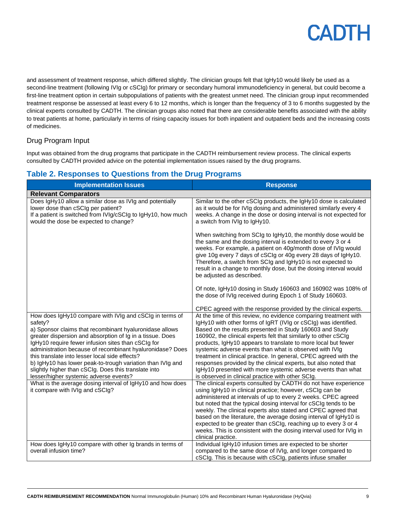and assessment of treatment response, which differed slightly. The clinician groups felt that IgHy10 would likely be used as a second-line treatment (following IVIg or cSCIg) for primary or secondary humoral immunodeficiency in general, but could become a first-line treatment option in certain subpopulations of patients with the greatest unmet need. The clinician group input recommended treatment response be assessed at least every 6 to 12 months, which is longer than the frequency of 3 to 6 months suggested by the clinical experts consulted by CADTH. The clinician groups also noted that there are considerable benefits associated with the ability to treat patients at home, particularly in terms of rising capacity issues for both inpatient and outpatient beds and the increasing costs of medicines.

## Drug Program Input

Input was obtained from the drug programs that participate in the CADTH reimbursement review process. The clinical experts consulted by CADTH provided advice on the potential implementation issues raised by the drug programs.

# **Table 2. Responses to Questions from the Drug Programs**

| <b>Implementation Issues</b>                                                                                                                                                                                                                                                                                                                                                                                                                                                                                                    | <b>Response</b>                                                                                                                                                                                                                                                                                                                                                                                                                                                                                                                                                                                                                                            |  |
|---------------------------------------------------------------------------------------------------------------------------------------------------------------------------------------------------------------------------------------------------------------------------------------------------------------------------------------------------------------------------------------------------------------------------------------------------------------------------------------------------------------------------------|------------------------------------------------------------------------------------------------------------------------------------------------------------------------------------------------------------------------------------------------------------------------------------------------------------------------------------------------------------------------------------------------------------------------------------------------------------------------------------------------------------------------------------------------------------------------------------------------------------------------------------------------------------|--|
| <b>Relevant Comparators</b>                                                                                                                                                                                                                                                                                                                                                                                                                                                                                                     |                                                                                                                                                                                                                                                                                                                                                                                                                                                                                                                                                                                                                                                            |  |
| Does IgHy10 allow a similar dose as IVIg and potentially<br>lower dose than cSCIg per patient?<br>If a patient is switched from IVIg/cSCIg to IgHy10, how much<br>would the dose be expected to change?                                                                                                                                                                                                                                                                                                                         | Similar to the other cSCIg products, the IgHy10 dose is calculated<br>as it would be for IVIg dosing and administered similarly every 4<br>weeks. A change in the dose or dosing interval is not expected for<br>a switch from IVIg to IgHy10.                                                                                                                                                                                                                                                                                                                                                                                                             |  |
|                                                                                                                                                                                                                                                                                                                                                                                                                                                                                                                                 | When switching from SCIg to IgHy10, the monthly dose would be<br>the same and the dosing interval is extended to every 3 or 4<br>weeks. For example, a patient on 40g/month dose of IVIg would<br>give 10g every 7 days of cSCIg or 40g every 28 days of IgHy10.<br>Therefore, a switch from SCIg and IgHy10 is not expected to<br>result in a change to monthly dose, but the dosing interval would<br>be adjusted as described.                                                                                                                                                                                                                          |  |
|                                                                                                                                                                                                                                                                                                                                                                                                                                                                                                                                 | Of note, IgHy10 dosing in Study 160603 and 160902 was 108% of<br>the dose of IVIg received during Epoch 1 of Study 160603.                                                                                                                                                                                                                                                                                                                                                                                                                                                                                                                                 |  |
|                                                                                                                                                                                                                                                                                                                                                                                                                                                                                                                                 | CPEC agreed with the response provided by the clinical experts.                                                                                                                                                                                                                                                                                                                                                                                                                                                                                                                                                                                            |  |
| How does IgHy10 compare with IVIg and cSCIg in terms of<br>safety?<br>a) Sponsor claims that recombinant hyaluronidase allows<br>greater dispersion and absorption of Ig in a tissue. Does<br>IgHy10 require fewer infusion sites than cSCIg for<br>administration because of recombinant hyaluronidase? Does<br>this translate into lesser local side effects?<br>b) IgHy10 has lower peak-to-trough variation than IVIg and<br>slightly higher than cSCIg. Does this translate into<br>lesser/higher systemic adverse events? | At the time of this review, no evidence comparing treatment with<br>IgHy10 with other forms of IgRT (IVIg or cSCIg) was identified.<br>Based on the results presented in Study 160603 and Study<br>160902, the clinical experts felt that similarly to other cSCIg<br>products, IgHy10 appears to translate to more local but fewer<br>systemic adverse events than what is observed with IVIg<br>treatment in clinical practice. In general, CPEC agreed with the<br>responses provided by the clinical experts, but also noted that<br>IgHy10 presented with more systemic adverse events than what<br>is observed in clinical practice with other SCIg. |  |
| What is the average dosing interval of IgHy10 and how does<br>it compare with IVIg and cSCIg?                                                                                                                                                                                                                                                                                                                                                                                                                                   | The clinical experts consulted by CADTH do not have experience<br>using IgHy10 in clinical practice; however, cSCIg can be<br>administered at intervals of up to every 2 weeks. CPEC agreed<br>but noted that the typical dosing interval for cSCIg tends to be<br>weekly. The clinical experts also stated and CPEC agreed that<br>based on the literature, the average dosing interval of IgHy10 is<br>expected to be greater than cSCIg, reaching up to every 3 or 4<br>weeks. This is consistent with the dosing interval used for IVIg in<br>clinical practice.                                                                                       |  |
| How does IgHy10 compare with other Ig brands in terms of<br>overall infusion time?                                                                                                                                                                                                                                                                                                                                                                                                                                              | Individual IgHy10 infusion times are expected to be shorter<br>compared to the same dose of IVIg, and longer compared to<br>cSCIg. This is because with cSCIg, patients infuse smaller                                                                                                                                                                                                                                                                                                                                                                                                                                                                     |  |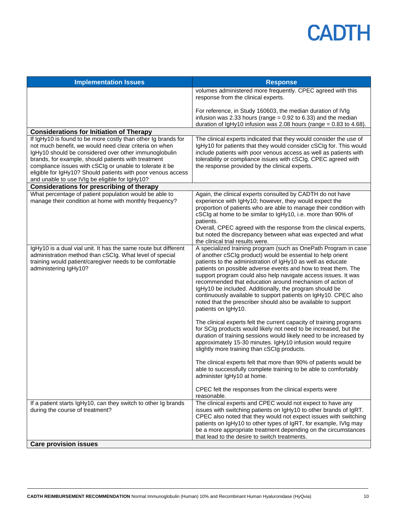| <b>Implementation Issues</b>                                                                                                                                                                                                                                                                                                                                                                                          | <b>Response</b>                                                                                                                                                                                                                                                                                                                                                                                                                                                                                                                                                                                                                                                                                                                                                                                                                                                                                                                                                                                                                                                                                                                                                                                   |
|-----------------------------------------------------------------------------------------------------------------------------------------------------------------------------------------------------------------------------------------------------------------------------------------------------------------------------------------------------------------------------------------------------------------------|---------------------------------------------------------------------------------------------------------------------------------------------------------------------------------------------------------------------------------------------------------------------------------------------------------------------------------------------------------------------------------------------------------------------------------------------------------------------------------------------------------------------------------------------------------------------------------------------------------------------------------------------------------------------------------------------------------------------------------------------------------------------------------------------------------------------------------------------------------------------------------------------------------------------------------------------------------------------------------------------------------------------------------------------------------------------------------------------------------------------------------------------------------------------------------------------------|
|                                                                                                                                                                                                                                                                                                                                                                                                                       | volumes administered more frequently. CPEC agreed with this<br>response from the clinical experts.                                                                                                                                                                                                                                                                                                                                                                                                                                                                                                                                                                                                                                                                                                                                                                                                                                                                                                                                                                                                                                                                                                |
|                                                                                                                                                                                                                                                                                                                                                                                                                       | For reference, in Study 160603, the median duration of IVIg<br>infusion was 2.33 hours (range = $0.92$ to 6.33) and the median<br>duration of IgHy10 infusion was 2.08 hours (range = $0.83$ to 4.68).                                                                                                                                                                                                                                                                                                                                                                                                                                                                                                                                                                                                                                                                                                                                                                                                                                                                                                                                                                                            |
| <b>Considerations for Initiation of Therapy</b>                                                                                                                                                                                                                                                                                                                                                                       |                                                                                                                                                                                                                                                                                                                                                                                                                                                                                                                                                                                                                                                                                                                                                                                                                                                                                                                                                                                                                                                                                                                                                                                                   |
| If IgHy10 is found to be more costly than other Ig brands for<br>not much benefit, we would need clear criteria on when<br>IgHy10 should be considered over other immunoglobulin<br>brands, for example, should patients with treatment<br>compliance issues with cSCIg or unable to tolerate it be<br>eligible for IgHy10? Should patients with poor venous access<br>and unable to use IVIg be eligible for IgHy10? | The clinical experts indicated that they would consider the use of<br>IgHy10 for patients that they would consider cSCIg for. This would<br>include patients with poor venous access as well as patients with<br>tolerability or compliance issues with cSCIg. CPEC agreed with<br>the response provided by the clinical experts.                                                                                                                                                                                                                                                                                                                                                                                                                                                                                                                                                                                                                                                                                                                                                                                                                                                                 |
| <b>Considerations for prescribing of therapy</b>                                                                                                                                                                                                                                                                                                                                                                      |                                                                                                                                                                                                                                                                                                                                                                                                                                                                                                                                                                                                                                                                                                                                                                                                                                                                                                                                                                                                                                                                                                                                                                                                   |
| What percentage of patient population would be able to<br>manage their condition at home with monthly frequency?                                                                                                                                                                                                                                                                                                      | Again, the clinical experts consulted by CADTH do not have<br>experience with IgHy10; however, they would expect the<br>proportion of patients who are able to manage their condition with<br>cSCIg at home to be similar to IgHy10, i.e. more than 90% of<br>patients.<br>Overall, CPEC agreed with the response from the clinical experts,<br>but noted the discrepancy between what was expected and what<br>the clinical trial results were.                                                                                                                                                                                                                                                                                                                                                                                                                                                                                                                                                                                                                                                                                                                                                  |
| IgHy10 is a dual vial unit. It has the same route but different<br>administration method than cSCIg. What level of special<br>training would patient/caregiver needs to be comfortable<br>administering IgHy10?                                                                                                                                                                                                       | A specialized training program (such as OnePath Program in case<br>of another cSCIg product) would be essential to help orient<br>patients to the administration of IgHy10 as well as educate<br>patients on possible adverse events and how to treat them. The<br>support program could also help navigate access issues. It was<br>recommended that education around mechanism of action of<br>IgHy10 be included. Additionally, the program should be<br>continuously available to support patients on IgHy10. CPEC also<br>noted that the prescriber should also be available to support<br>patients on IgHy10.<br>The clinical experts felt the current capacity of training programs<br>for SCIg products would likely not need to be increased, but the<br>duration of training sessions would likely need to be increased by<br>approximately 15-30 minutes. IgHy10 infusion would require<br>slightly more training than cSCIg products.<br>The clinical experts felt that more than 90% of patients would be<br>able to successfully complete training to be able to comfortably<br>administer IgHy10 at home.<br>CPEC felt the responses from the clinical experts were<br>reasonable. |
| If a patient starts IgHy10, can they switch to other Ig brands<br>during the course of treatment?                                                                                                                                                                                                                                                                                                                     | The clinical experts and CPEC would not expect to have any<br>issues with switching patients on IgHy10 to other brands of IgRT.<br>CPEC also noted that they would not expect issues with switching<br>patients on IgHy10 to other types of IgRT, for example, IVIg may<br>be a more appropriate treatment depending on the circumstances<br>that lead to the desire to switch treatments.                                                                                                                                                                                                                                                                                                                                                                                                                                                                                                                                                                                                                                                                                                                                                                                                        |
| <b>Care provision issues</b>                                                                                                                                                                                                                                                                                                                                                                                          |                                                                                                                                                                                                                                                                                                                                                                                                                                                                                                                                                                                                                                                                                                                                                                                                                                                                                                                                                                                                                                                                                                                                                                                                   |
|                                                                                                                                                                                                                                                                                                                                                                                                                       |                                                                                                                                                                                                                                                                                                                                                                                                                                                                                                                                                                                                                                                                                                                                                                                                                                                                                                                                                                                                                                                                                                                                                                                                   |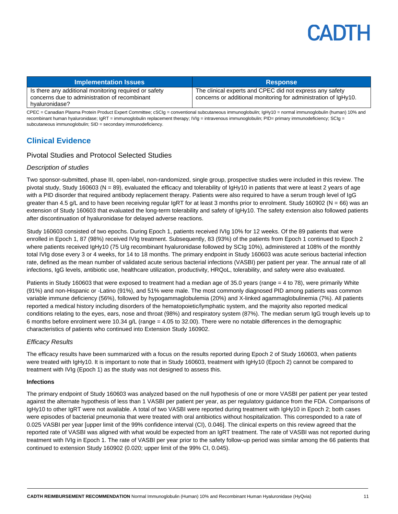| <b>Implementation Issues</b>                                                                           | <b>Response</b>                                                                                                             |
|--------------------------------------------------------------------------------------------------------|-----------------------------------------------------------------------------------------------------------------------------|
| Is there any additional monitoring required or safety<br>concerns due to administration of recombinant | The clinical experts and CPEC did not express any safety<br>concerns or additional monitoring for administration of IgHy10. |
| hyaluronidase?                                                                                         |                                                                                                                             |

CPEC = Canadian Plasma Protein Product Expert Committee; cSCIg = conventional subcutaneous immunoglobulin; IgHy10 = normal immunoglobulin (human) 10% and recombinant human hyaluronidase; IgRT = immunoglobulin replacement therapy; IVIg = intravenous immunoglobulin; PID= primary immunodeficiency; SCIg = subcutaneous immunoglobulin; SID = secondary immunodeficiency.

## **Clinical Evidence**

### Pivotal Studies and Protocol Selected Studies

### *Description of studies*

Two sponsor-submitted, phase III, open-label, non-randomized, single group, prospective studies were included in this review. The pivotal study, Study 160603 (N = 89), evaluated the efficacy and tolerability of IgHy10 in patients that were at least 2 years of age with a PID disorder that required antibody replacement therapy. Patients were also required to have a serum trough level of IgG greater than 4.5 g/L and to have been receiving regular IgRT for at least 3 months prior to enrolment. Study 160902 (N = 66) was an extension of Study 160603 that evaluated the long-term tolerability and safety of IgHy10. The safety extension also followed patients after discontinuation of hyaluronidase for delayed adverse reactions.

Study 160603 consisted of two epochs. During Epoch 1, patients received IVIg 10% for 12 weeks. Of the 89 patients that were enrolled in Epoch 1, 87 (98%) received IVIg treatment. Subsequently, 83 (93%) of the patients from Epoch 1 continued to Epoch 2 where patients received IgHy10 (75 U/g recombinant hyaluronidase followed by SCIg 10%), administered at 108% of the monthly total IVIg dose every 3 or 4 weeks, for 14 to 18 months. The primary endpoint in Study 160603 was acute serious bacterial infection rate, defined as the mean number of validated acute serious bacterial infections (VASBI) per patient per year. The annual rate of all infections, IgG levels, antibiotic use, healthcare utilization, productivity, HRQoL, tolerability, and safety were also evaluated.

Patients in Study 160603 that were exposed to treatment had a median age of 35.0 years (range = 4 to 78), were primarily White (91%) and non-Hispanic or -Latino (91%), and 51% were male. The most commonly diagnosed PID among patients was common variable immune deficiency (56%), followed by hypogammaglobulemia (20%) and X-linked agammaglobulinemia (7%). All patients reported a medical history including disorders of the hematopoietic/lymphatic system, and the majority also reported medical conditions relating to the eyes, ears, nose and throat (98%) and respiratory system (87%). The median serum IgG trough levels up to 6 months before enrolment were 10.34 g/L (range = 4.05 to 32.00). There were no notable differences in the demographic characteristics of patients who continued into Extension Study 160902.

#### *Efficacy Results*

The efficacy results have been summarized with a focus on the results reported during Epoch 2 of Study 160603, when patients were treated with IgHy10. It is important to note that in Study 160603, treatment with IgHy10 (Epoch 2) cannot be compared to treatment with IVIg (Epoch 1) as the study was not designed to assess this.

#### **Infections**

The primary endpoint of Study 160603 was analyzed based on the null hypothesis of one or more VASBI per patient per year tested against the alternate hypothesis of less than 1 VASBI per patient per year, as per regulatory guidance from the FDA. Comparisons of IgHy10 to other IgRT were not available. A total of two VASBI were reported during treatment with IgHy10 in Epoch 2; both cases were episodes of bacterial pneumonia that were treated with oral antibiotics without hospitalization. This corresponded to a rate of 0.025 VASBI per year [upper limit of the 99% confidence interval (CI), 0.046]. The clinical experts on this review agreed that the reported rate of VASBI was aligned with what would be expected from an IgRT treatment. The rate of VASBI was not reported during treatment with IVIg in Epoch 1. The rate of VASBI per year prior to the safety follow-up period was similar among the 66 patients that continued to extension Study 160902 (0.020; upper limit of the 99% CI, 0.045).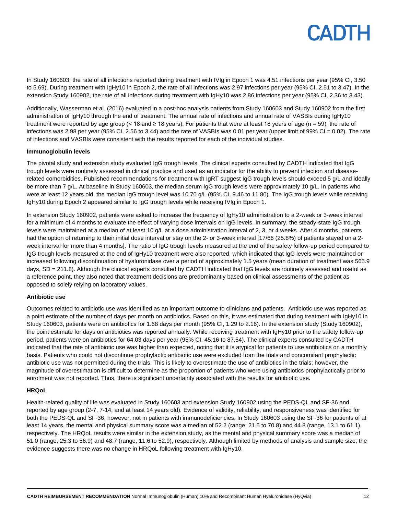In Study 160603, the rate of all infections reported during treatment with IVIg in Epoch 1 was 4.51 infections per year (95% CI, 3.50 to 5.69). During treatment with IgHy10 in Epoch 2, the rate of all infections was 2.97 infections per year (95% CI, 2.51 to 3.47). In the extension Study 160902, the rate of all infections during treatment with IgHy10 was 2.86 infections per year (95% CI, 2.36 to 3.43).

Additionally, Wasserman et al. (2016) evaluated in a post-hoc analysis patients from Study 160603 and Study 160902 from the first administration of IgHy10 through the end of treatment. The annual rate of infections and annual rate of VASBIs during IgHy10 treatment were reported by age group (< 18 and ≥ 18 years). For patients that were at least 18 years of age (n = 59), the rate of infections was 2.98 per year (95% CI, 2.56 to 3.44) and the rate of VASBIs was 0.01 per year (upper limit of 99% CI = 0.02). The rate of infections and VASBIs were consistent with the results reported for each of the individual studies.

#### **Immunoglobulin levels**

The pivotal study and extension study evaluated IgG trough levels. The clinical experts consulted by CADTH indicated that IgG trough levels were routinely assessed in clinical practice and used as an indicator for the ability to prevent infection and diseaserelated comorbidities. Published recommendations for treatment with IgRT suggest IgG trough levels should exceed 5 g/L and ideally be more than 7 g/L. At baseline in Study 160603, the median serum IgG trough levels were approximately 10 g/L. In patients who were at least 12 years old, the median IgG trough level was 10.70 g/L (95% CI, 9.46 to 11.80). The IgG trough levels while receiving IgHy10 during Epoch 2 appeared similar to IgG trough levels while receiving IVIg in Epoch 1.

In extension Study 160902, patients were asked to increase the frequency of IgHy10 administration to a 2-week or 3-week interval for a minimum of 4 months to evaluate the effect of varying dose intervals on IgG levels. In summary, the steady-state IgG trough levels were maintained at a median of at least 10 g/L at a dose administration interval of 2, 3, or 4 weeks. After 4 months, patients had the option of returning to their initial dose interval or stay on the 2- or 3-week interval [17/66 (25.8%) of patients stayed on a 2week interval for more than 4 months]. The ratio of IgG trough levels measured at the end of the safety follow-up period compared to IgG trough levels measured at the end of IgHy10 treatment were also reported, which indicated that IgG levels were maintained or increased following discontinuation of hyaluronidase over a period of approximately 1.5 years (mean duration of treatment was 565.9 days, SD = 211.8). Although the clinical experts consulted by CADTH indicated that IgG levels are routinely assessed and useful as a reference point, they also noted that treatment decisions are predominantly based on clinical assessments of the patient as opposed to solely relying on laboratory values.

#### **Antibiotic use**

Outcomes related to antibiotic use was identified as an important outcome to clinicians and patients. Antibiotic use was reported as a point estimate of the number of days per month on antibiotics. Based on this, it was estimated that during treatment with IgHy10 in Study 160603, patients were on antibiotics for 1.68 days per month (95% CI, 1.29 to 2.16). In the extension study (Study 160902), the point estimate for days on antibiotics was reported annually. While receiving treatment with IgHy10 prior to the safety follow-up period, patients were on antibiotics for 64.03 days per year (95% CI, 45.16 to 87.54). The clinical experts consulted by CADTH indicated that the rate of antibiotic use was higher than expected, noting that it is atypical for patients to use antibiotics on a monthly basis. Patients who could not discontinue prophylactic antibiotic use were excluded from the trials and concomitant prophylactic antibiotic use was not permitted during the trials. This is likely to overestimate the use of antibiotics in the trials; however, the magnitude of overestimation is difficult to determine as the proportion of patients who were using antibiotics prophylactically prior to enrolment was not reported. Thus, there is significant uncertainty associated with the results for antibiotic use.

#### **HRQoL**

Health-related quality of life was evaluated in Study 160603 and extension Study 160902 using the PEDS-QL and SF-36 and reported by age group (2-7, 7-14, and at least 14 years old). Evidence of validity, reliability, and responsiveness was identified for both the PEDS-QL and SF-36; however, not in patients with immunodeficiencies. In Study 160603 using the SF-36 for patients of at least 14 years, the mental and physical summary score was a median of 52.2 (range, 21.5 to 70.8) and 44.8 (range, 13.1 to 61.1), respectively. The HRQoL results were similar in the extension study, as the mental and physical summary score was a median of 51.0 (range, 25.3 to 56.9) and 48.7 (range, 11.6 to 52.9), respectively. Although limited by methods of analysis and sample size, the evidence suggests there was no change in HRQoL following treatment with IgHy10.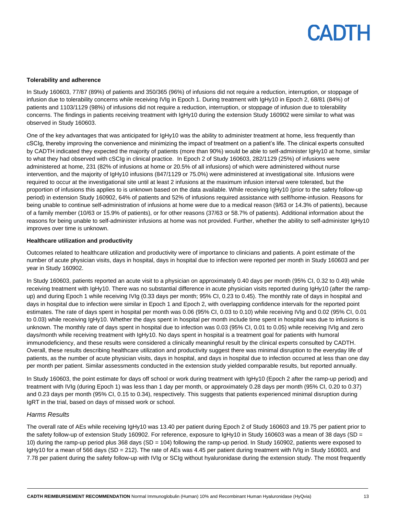#### **Tolerability and adherence**

In Study 160603, 77/87 (89%) of patients and 350/365 (96%) of infusions did not require a reduction, interruption, or stoppage of infusion due to tolerability concerns while receiving IVIg in Epoch 1. During treatment with IgHy10 in Epoch 2, 68/81 (84%) of patients and 1103/1129 (98%) of infusions did not require a reduction, interruption, or stoppage of infusion due to tolerability concerns. The findings in patients receiving treatment with IgHy10 during the extension Study 160902 were similar to what was observed in Study 160603.

One of the key advantages that was anticipated for IgHy10 was the ability to administer treatment at home, less frequently than cSCIg, thereby improving the convenience and minimizing the impact of treatment on a patient's life. The clinical experts consulted by CADTH indicated they expected the majority of patients (more than 90%) would be able to self-administer IgHy10 at home, similar to what they had observed with cSCIg in clinical practice. In Epoch 2 of Study 160603, 282/1129 (25%) of infusions were administered at home, 231 (82% of infusions at home or 20.5% of all infusions) of which were administered without nurse intervention, and the majority of IgHy10 infusions (847/1129 or 75.0%) were administered at investigational site. Infusions were required to occur at the investigational site until at least 2 infusions at the maximum infusion interval were tolerated, but the proportion of infusions this applies to is unknown based on the data available. While receiving IgHy10 (prior to the safety follow-up period) in extension Study 160902, 64% of patients and 52% of infusions required assistance with self/home-infusion. Reasons for being unable to continue self-administration of infusions at home were due to a medical reason (9/63 or 14.3% of patients), because of a family member (10/63 or 15.9% of patients), or for other reasons (37/63 or 58.7% of patients). Additional information about the reasons for being unable to self-administer infusions at home was not provided. Further, whether the ability to self-administer IgHy10 improves over time is unknown.

#### **Healthcare utilization and productivity**

Outcomes related to healthcare utilization and productivity were of importance to clinicians and patients. A point estimate of the number of acute physician visits, days in hospital, days in hospital due to infection were reported per month in Study 160603 and per year in Study 160902.

In Study 160603, patients reported an acute visit to a physician on approximately 0.40 days per month (95% CI, 0.32 to 0.49) while receiving treatment with IgHy10. There was no substantial difference in acute physician visits reported during IgHy10 (after the rampup) and during Epoch 1 while receiving IVIg (0.33 days per month; 95% CI, 0.23 to 0.45). The monthly rate of days in hospital and days in hospital due to infection were similar in Epoch 1 and Epoch 2, with overlapping confidence intervals for the reported point estimates. The rate of days spent in hospital per month was 0.06 (95% CI, 0.03 to 0.10) while receiving IVIg and 0.02 (95% CI, 0.01 to 0.03) while receiving IgHy10. Whether the days spent in hospital per month include time spent in hospital was due to infusions is unknown. The monthly rate of days spent in hospital due to infection was 0.03 (95% CI, 0.01 to 0.05) while receiving IVIg and zero days/month while receiving treatment with IgHy10. No days spent in hospital is a treatment goal for patients with humoral immunodeficiency, and these results were considered a clinically meaningful result by the clinical experts consulted by CADTH. Overall, these results describing healthcare utilization and productivity suggest there was minimal disruption to the everyday life of patients, as the number of acute physician visits, days in hospital, and days in hospital due to infection occurred at less than one day per month per patient. Similar assessments conducted in the extension study yielded comparable results, but reported annually.

In Study 160603, the point estimate for days off school or work during treatment with IgHy10 (Epoch 2 after the ramp-up period) and treatment with IVIg (during Epoch 1) was less than 1 day per month, or approximately 0.28 days per month (95% CI, 0.20 to 0.37) and 0.23 days per month (95% CI, 0.15 to 0.34), respectively. This suggests that patients experienced minimal disruption during IgRT in the trial, based on days of missed work or school.

#### *Harms Results*

The overall rate of AEs while receiving IgHy10 was 13.40 per patient during Epoch 2 of Study 160603 and 19.75 per patient prior to the safety follow-up of extension Study 160902. For reference, exposure to IgHy10 in Study 160603 was a mean of 38 days (SD = 10) during the ramp-up period plus 368 days (SD = 104) following the ramp-up period. In Study 160902, patients were exposed to IgHy10 for a mean of 566 days (SD = 212). The rate of AEs was 4.45 per patient during treatment with IVIg in Study 160603, and 7.78 per patient during the safety follow-up with IVIg or SCIg without hyaluronidase during the extension study. The most frequently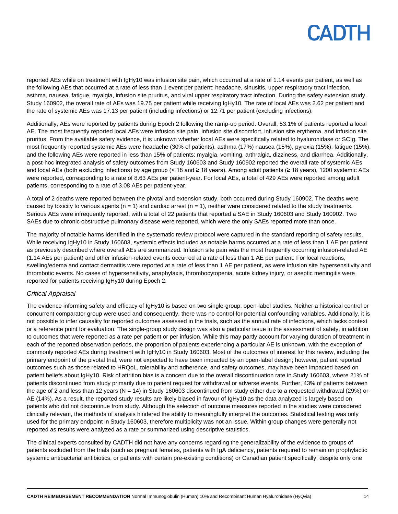reported AEs while on treatment with IgHy10 was infusion site pain, which occurred at a rate of 1.14 events per patient, as well as the following AEs that occurred at a rate of less than 1 event per patient: headache, sinusitis, upper respiratory tract infection, asthma, nausea, fatigue, myalgia, infusion site pruritus, and viral upper respiratory tract infection. During the safety extension study, Study 160902, the overall rate of AEs was 19.75 per patient while receiving IgHy10. The rate of local AEs was 2.62 per patient and the rate of systemic AEs was 17.13 per patient (including infections) or 12.71 per patient (excluding infections).

Additionally, AEs were reported by patients during Epoch 2 following the ramp-up period. Overall, 53.1% of patients reported a local AE. The most frequently reported local AEs were infusion site pain, infusion site discomfort, infusion site erythema, and infusion site pruritus. From the available safety evidence, it is unknown whether local AEs were specifically related to hyaluronidase or SCIg. The most frequently reported systemic AEs were headache (30% of patients), asthma (17%) nausea (15%), pyrexia (15%), fatigue (15%), and the following AEs were reported in less than 15% of patients: myalgia, vomiting, arthralgia, dizziness, and diarrhea. Additionally, a post-hoc integrated analysis of safety outcomes from Study 160603 and Study 160902 reported the overall rate of systemic AEs and local AEs (both excluding infections) by age group (< 18 and ≥ 18 years). Among adult patients (≥ 18 years), 1200 systemic AEs were reported, corresponding to a rate of 8.63 AEs per patient-year. For local AEs, a total of 429 AEs were reported among adult patients, corresponding to a rate of 3.08 AEs per patient-year.

A total of 2 deaths were reported between the pivotal and extension study, both occurred during Study 160902. The deaths were caused by toxicity to various agents ( $n = 1$ ) and cardiac arrest ( $n = 1$ ), neither were considered related to the study treatments. Serious AEs were infrequently reported, with a total of 22 patients that reported a SAE in Study 160603 and Study 160902. Two SAEs due to chronic obstructive pulmonary disease were reported, which were the only SAEs reported more than once.

The majority of notable harms identified in the systematic review protocol were captured in the standard reporting of safety results. While receiving IgHy10 in Study 160603, systemic effects included as notable harms occurred at a rate of less than 1 AE per patient as previously described where overall AEs are summarized. Infusion site pain was the most frequently occurring infusion-related AE (1.14 AEs per patient) and other infusion-related events occurred at a rate of less than 1 AE per patient. For local reactions, swelling/edema and contact dermatitis were reported at a rate of less than 1 AE per patient, as were infusion site hypersensitivity and thrombotic events. No cases of hypersensitivity, anaphylaxis, thrombocytopenia, acute kidney injury, or aseptic meningitis were reported for patients receiving IgHy10 during Epoch 2.

### *Critical Appraisal*

The evidence informing safety and efficacy of IgHy10 is based on two single-group, open-label studies. Neither a historical control or concurrent comparator group were used and consequently, there was no control for potential confounding variables. Additionally, it is not possible to infer causality for reported outcomes assessed in the trials, such as the annual rate of infections, which lacks context or a reference point for evaluation. The single-group study design was also a particular issue in the assessment of safety, in addition to outcomes that were reported as a rate per patient or per infusion. While this may partly account for varying duration of treatment in each of the reported observation periods, the proportion of patients experiencing a particular AE is unknown, with the exception of commonly reported AEs during treatment with IgHy10 in Study 160603. Most of the outcomes of interest for this review, including the primary endpoint of the pivotal trial, were not expected to have been impacted by an open-label design; however, patient reported outcomes such as those related to HRQoL, tolerability and adherence, and safety outcomes, may have been impacted based on patient beliefs about IgHy10. Risk of attrition bias is a concern due to the overall discontinuation rate in Study 160603, where 21% of patients discontinued from study primarily due to patient request for withdrawal or adverse events. Further, 43% of patients between the age of 2 and less than 12 years (N = 14) in Study 160603 discontinued from study either due to a requested withdrawal (29%) or AE (14%). As a result, the reported study results are likely biased in favour of IgHy10 as the data analyzed is largely based on patients who did not discontinue from study. Although the selection of outcome measures reported in the studies were considered clinically relevant, the methods of analysis hindered the ability to meaningfully interpret the outcomes. Statistical testing was only used for the primary endpoint in Study 160603, therefore multiplicity was not an issue. Within group changes were generally not reported as results were analyzed as a rate or summarized using descriptive statistics.

The clinical experts consulted by CADTH did not have any concerns regarding the generalizability of the evidence to groups of patients excluded from the trials (such as pregnant females, patients with IgA deficiency, patients required to remain on prophylactic systemic antibacterial antibiotics, or patients with certain pre-existing conditions) or Canadian patient specifically, despite only one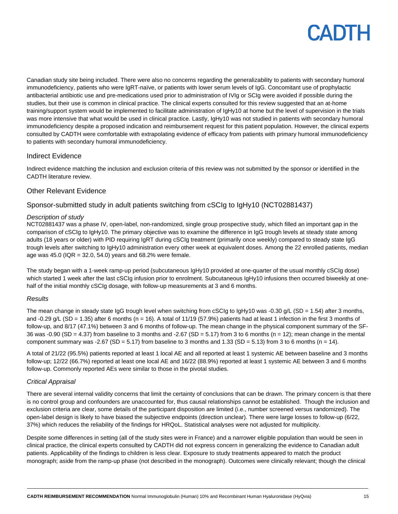Canadian study site being included. There were also no concerns regarding the generalizability to patients with secondary humoral immunodeficiency, patients who were IgRT-naïve, or patients with lower serum levels of IgG. Concomitant use of prophylactic antibacterial antibiotic use and pre-medications used prior to administration of IVIg or SCIg were avoided if possible during the studies, but their use is common in clinical practice. The clinical experts consulted for this review suggested that an at-home training/support system would be implemented to facilitate administration of IgHy10 at home but the level of supervision in the trials was more intensive that what would be used in clinical practice. Lastly, IgHy10 was not studied in patients with secondary humoral immunodeficiency despite a proposed indication and reimbursement request for this patient population. However, the clinical experts consulted by CADTH were comfortable with extrapolating evidence of efficacy from patients with primary humoral immunodeficiency to patients with secondary humoral immunodeficiency.

### Indirect Evidence

Indirect evidence matching the inclusion and exclusion criteria of this review was not submitted by the sponsor or identified in the CADTH literature review.

### Other Relevant Evidence

## Sponsor-submitted study in adult patients switching from cSCIg to IgHy10 (NCT02881437)

### *Description of study*

NCT02881437 was a phase IV, open-label, non-randomized, single group prospective study, which filled an important gap in the comparison of cSCIg to IgHy10. The primary objective was to examine the difference in IgG trough levels at steady state among adults (18 years or older) with PID requiring IgRT during cSCIg treatment (primarily once weekly) compared to steady state IgG trough levels after switching to IgHy10 administration every other week at equivalent doses. Among the 22 enrolled patients, median age was 45.0 ( $IQR = 32.0, 54.0$ ) years and 68.2% were female.

The study began with a 1-week ramp-up period (subcutaneous IgHy10 provided at one-quarter of the usual monthly cSCIg dose) which started 1 week after the last cSCIg infusion prior to enrolment. Subcutaneous IgHy10 infusions then occurred biweekly at onehalf of the initial monthly cSCIg dosage, with follow-up measurements at 3 and 6 months.

#### *Results*

The mean change in steady state IgG trough level when switching from cSCIg to IgHy10 was -0.30 g/L (SD = 1.54) after 3 months, and -0.29 g/L (SD = 1.35) after 6 months ( $n = 16$ ). A total of 11/19 (57.9%) patients had at least 1 infection in the first 3 months of follow-up, and 8/17 (47.1%) between 3 and 6 months of follow-up. The mean change in the physical component summary of the SF-36 was -0.90 (SD = 4.37) from baseline to 3 months and -2.67 (SD = 5.17) from 3 to 6 months (n = 12); mean change in the mental component summary was -2.67 (SD = 5.17) from baseline to 3 months and 1.33 (SD = 5.13) from 3 to 6 months (n = 14).

A total of 21/22 (95.5%) patients reported at least 1 local AE and all reported at least 1 systemic AE between baseline and 3 months follow-up; 12/22 (66.7%) reported at least one local AE and 16/22 (88.9%) reported at least 1 systemic AE between 3 and 6 months follow-up. Commonly reported AEs were similar to those in the pivotal studies.

### *Critical Appraisal*

There are several internal validity concerns that limit the certainty of conclusions that can be drawn. The primary concern is that there is no control group and confounders are unaccounted for, thus causal relationships cannot be established. Though the inclusion and exclusion criteria are clear, some details of the participant disposition are limited (i.e., number screened versus randomized). The open-label design is likely to have biased the subjective endpoints (direction unclear). There were large losses to follow-up (6/22, 37%) which reduces the reliability of the findings for HRQoL. Statistical analyses were not adjusted for multiplicity.

Despite some differences in setting (all of the study sites were in France) and a narrower eligible population than would be seen in clinical practice, the clinical experts consulted by CADTH did not express concern in generalizing the evidence to Canadian adult patients. Applicability of the findings to children is less clear. Exposure to study treatments appeared to match the product monograph; aside from the ramp-up phase (not described in the monograph). Outcomes were clinically relevant; though the clinical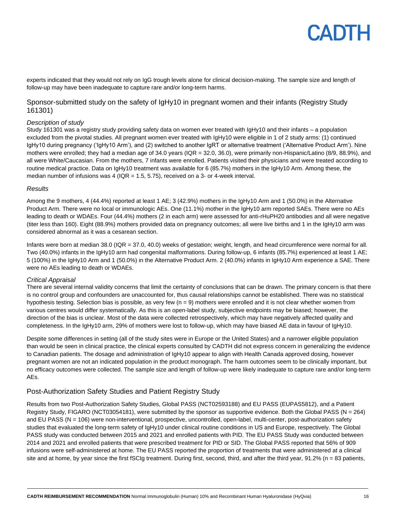experts indicated that they would not rely on IgG trough levels alone for clinical decision-making. The sample size and length of follow-up may have been inadequate to capture rare and/or long-term harms.

### Sponsor-submitted study on the safety of IgHy10 in pregnant women and their infants (Registry Study 161301)

#### *Description of study*

Study 161301 was a registry study providing safety data on women ever treated with IgHy10 and their infants – a population excluded from the pivotal studies. All pregnant women ever treated with IgHy10 were eligible in 1 of 2 study arms: (1) continued IgHy10 during pregnancy ('IgHy10 Arm'), and (2) switched to another IgRT or alternative treatment ('Alternative Product Arm'). Nine mothers were enrolled; they had a median age of 34.0 years (IQR = 32.0, 36.0), were primarily non-Hispanic/Latino (8/9, 88.9%), and all were White/Caucasian. From the mothers, 7 infants were enrolled. Patients visited their physicians and were treated according to routine medical practice. Data on IgHy10 treatment was available for 6 (85.7%) mothers in the IgHy10 Arm. Among these, the median number of infusions was 4 ( $IQR = 1.5, 5.75$ ), received on a 3- or 4-week interval.

#### *Results*

Among the 9 mothers, 4 (44.4%) reported at least 1 AE; 3 (42.9%) mothers in the IgHy10 Arm and 1 (50.0%) in the Alternative Product Arm. There were no local or immunologic AEs. One (11.1%) mother in the IgHy10 arm reported SAEs. There were no AEs leading to death or WDAEs. Four (44.4%) mothers (2 in each arm) were assessed for anti-rHuPH20 antibodies and all were negative (titer less than 160). Eight (88.9%) mothers provided data on pregnancy outcomes; all were live births and 1 in the IgHy10 arm was considered abnormal as it was a cesarean section.

Infants were born at median 38.0 (IQR = 37.0, 40.0) weeks of gestation; weight, length, and head circumference were normal for all. Two (40.0%) infants in the IgHy10 arm had congenital malformations. During follow-up, 6 infants (85.7%) experienced at least 1 AE; 5 (100%) in the IgHy10 Arm and 1 (50.0%) in the Alternative Product Arm. 2 (40.0%) infants in IgHy10 Arm experience a SAE. There were no AEs leading to death or WDAEs.

#### *Critical Appraisal*

There are several internal validity concerns that limit the certainty of conclusions that can be drawn. The primary concern is that there is no control group and confounders are unaccounted for, thus causal relationships cannot be established. There was no statistical hypothesis testing. Selection bias is possible, as very few (n = 9) mothers were enrolled and it is not clear whether women from various centres would differ systematically. As this is an open-label study, subjective endpoints may be biased; however, the direction of the bias is unclear. Most of the data were collected retrospectively, which may have negatively affected quality and completeness. In the IgHy10 arm, 29% of mothers were lost to follow-up, which may have biased AE data in favour of IgHy10.

Despite some differences in setting (all of the study sites were in Europe or the United States) and a narrower eligible population than would be seen in clinical practice, the clinical experts consulted by CADTH did not express concern in generalizing the evidence to Canadian patients. The dosage and administration of IgHy10 appear to align with Health Canada approved dosing, however pregnant women are not an indicated population in the product monograph. The harm outcomes seem to be clinically important, but no efficacy outcomes were collected. The sample size and length of follow-up were likely inadequate to capture rare and/or long-term AEs.

### Post-Authorization Safety Studies and Patient Registry Study

Results from two Post-Authorization Safety Studies, Global PASS (NCT02593188) and EU PASS (EUPAS5812), and a Patient Registry Study, FIGARO (NCT03054181), were submitted by the sponsor as supportive evidence. Both the Global PASS (N = 264) and EU PASS (N = 106) were non-interventional, prospective, uncontrolled, open-label, multi-center, post-authorization safety studies that evaluated the long-term safety of IgHy10 under clinical routine conditions in US and Europe, respectively. The Global PASS study was conducted between 2015 and 2021 and enrolled patients with PID. The EU PASS Study was conducted between 2014 and 2021 and enrolled patients that were prescribed treatment for PID or SID. The Global PASS reported that 56% of 909 infusions were self-administered at home. The EU PASS reported the proportion of treatments that were administered at a clinical site and at home, by year since the first fSCIg treatment. During first, second, third, and after the third year, 91.2% (n = 83 patients,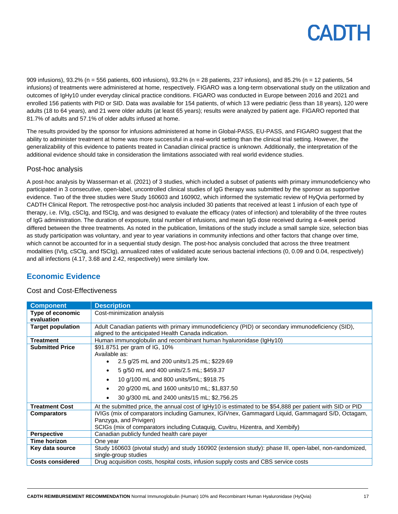909 infusions), 93.2% (n = 556 patients, 600 infusions), 93.2% (n = 28 patients, 237 infusions), and 85.2% (n = 12 patients, 54 infusions) of treatments were administered at home, respectively. FIGARO was a long-term observational study on the utilization and outcomes of IgHy10 under everyday clinical practice conditions. FIGARO was conducted in Europe between 2016 and 2021 and enrolled 156 patients with PID or SID. Data was available for 154 patients, of which 13 were pediatric (less than 18 years), 120 were adults (18 to 64 years), and 21 were older adults (at least 65 years); results were analyzed by patient age. FIGARO reported that 81.7% of adults and 57.1% of older adults infused at home.

The results provided by the sponsor for infusions administered at home in Global-PASS, EU-PASS, and FIGARO suggest that the ability to administer treatment at home was more successful in a real-world setting than the clinical trial setting. However, the generalizability of this evidence to patients treated in Canadian clinical practice is unknown. Additionally, the interpretation of the additional evidence should take in consideration the limitations associated with real world evidence studies.

### Post-hoc analysis

A post-hoc analysis by Wasserman et al. (2021) of 3 studies, which included a subset of patients with primary immunodeficiency who participated in 3 consecutive, open-label, uncontrolled clinical studies of IgG therapy was submitted by the sponsor as supportive evidence. Two of the three studies were Study 160603 and 160902, which informed the systematic review of HyQvia performed by CADTH Clinical Report. The retrospective post-hoc analysis included 30 patients that received at least 1 infusion of each type of therapy, i.e. IVIg, cSCIg, and fSCIg, and was designed to evaluate the efficacy (rates of infection) and tolerability of the three routes of IgG administration. The duration of exposure, total number of infusions, and mean IgG dose received during a 4-week period differed between the three treatments. As noted in the publication, limitations of the study include a small sample size, selection bias as study participation was voluntary, and year to year variations in community infections and other factors that change over time, which cannot be accounted for in a sequential study design. The post-hoc analysis concluded that across the three treatment modalities (IVIg, cSCIg, and fSCIg), annualized rates of validated acute serious bacterial infections (0, 0.09 and 0.04, respectively) and all infections (4.17, 3.68 and 2.42, respectively) were similarly low.

## **Economic Evidence**

### Cost and Cost-Effectiveness

| <b>Component</b>                                        | <b>Description</b>                                                                                        |  |
|---------------------------------------------------------|-----------------------------------------------------------------------------------------------------------|--|
| Type of economic                                        | Cost-minimization analysis                                                                                |  |
| evaluation                                              |                                                                                                           |  |
| <b>Target population</b>                                | Adult Canadian patients with primary immunodeficiency (PID) or secondary immunodeficiency (SID),          |  |
|                                                         | aligned to the anticipated Health Canada indication.                                                      |  |
| <b>Treatment</b>                                        | Human immunoglobulin and recombinant human hyaluronidase (IgHy10)                                         |  |
| <b>Submitted Price</b><br>\$91.8751 per gram of IG, 10% |                                                                                                           |  |
|                                                         | Available as:                                                                                             |  |
|                                                         | 2.5 g/25 mL and 200 units/1.25 mL; \$229.69<br>$\bullet$                                                  |  |
|                                                         | 5 g/50 mL and 400 units/2.5 mL; \$459.37                                                                  |  |
|                                                         | 10 g/100 mL and 800 units/5mL; \$918.75                                                                   |  |
|                                                         | 20 g/200 mL and 1600 units/10 mL; \$1,837.50                                                              |  |
|                                                         | 30 g/300 mL and 2400 units/15 mL; \$2,756.25                                                              |  |
| <b>Treatment Cost</b>                                   | At the submitted price, the annual cost of IgHy10 is estimated to be \$54,888 per patient with SID or PID |  |
| <b>Comparators</b>                                      | IVIGs (mix of comparators including Gamunex, IGIVnex, Gammagard Liquid, Gammagard S/D, Octagam,           |  |
|                                                         | Panzyga, and Privigen)                                                                                    |  |
|                                                         | SCIGs (mix of comparators including Cutaquig, Cuvitru, Hizentra, and Xembify)                             |  |
| <b>Perspective</b>                                      | Canadian publicly funded health care payer                                                                |  |
| Time horizon                                            | One year                                                                                                  |  |
| Key data source                                         | Study 160603 (pivotal study) and study 160902 (extension study): phase III, open-label, non-randomized,   |  |
|                                                         | single-group studies                                                                                      |  |
| <b>Costs considered</b>                                 | Drug acquisition costs, hospital costs, infusion supply costs and CBS service costs                       |  |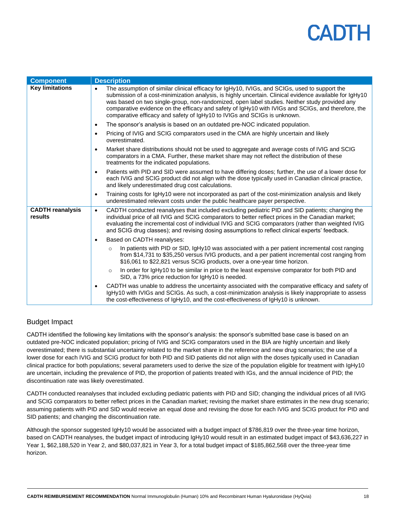| <b>Component</b>                   | <b>Description</b>                                                                                                                                                                                                                                                                                                                                                                                                                                                                          |
|------------------------------------|---------------------------------------------------------------------------------------------------------------------------------------------------------------------------------------------------------------------------------------------------------------------------------------------------------------------------------------------------------------------------------------------------------------------------------------------------------------------------------------------|
| <b>Key limitations</b>             | The assumption of similar clinical efficacy for IgHy10, IVIGs, and SCIGs, used to support the<br>submission of a cost-minimization analysis, is highly uncertain. Clinical evidence available for IgHy10<br>was based on two single-group, non-randomized, open label studies. Neither study provided any<br>comparative evidence on the efficacy and safety of IgHy10 with IVIGs and SCIGs, and therefore, the<br>comparative efficacy and safety of IgHy10 to IVIGs and SCIGs is unknown. |
|                                    | The sponsor's analysis is based on an outdated pre-NOC indicated population.<br>$\bullet$                                                                                                                                                                                                                                                                                                                                                                                                   |
|                                    | Pricing of IVIG and SCIG comparators used in the CMA are highly uncertain and likely<br>$\bullet$<br>overestimated.                                                                                                                                                                                                                                                                                                                                                                         |
|                                    | Market share distributions should not be used to aggregate and average costs of IVIG and SCIG<br>$\bullet$<br>comparators in a CMA. Further, these market share may not reflect the distribution of these<br>treatments for the indicated populations.                                                                                                                                                                                                                                      |
|                                    | Patients with PID and SID were assumed to have differing doses; further, the use of a lower dose for<br>$\bullet$<br>each IVIG and SCIG product did not align with the dose typically used in Canadian clinical practice,<br>and likely underestimated drug cost calculations.                                                                                                                                                                                                              |
|                                    | Training costs for IgHy10 were not incorporated as part of the cost-minimization analysis and likely<br>$\bullet$<br>underestimated relevant costs under the public healthcare payer perspective.                                                                                                                                                                                                                                                                                           |
| <b>CADTH reanalysis</b><br>results | CADTH conducted reanalyses that included excluding pediatric PID and SID patients; changing the<br>$\bullet$<br>individual price of all IVIG and SCIG comparators to better reflect prices in the Canadian market;<br>evaluating the incremental cost of individual IVIG and SCIG comparators (rather than weighted IVIG<br>and SCIG drug classes); and revising dosing assumptions to reflect clinical experts' feedback.                                                                  |
|                                    | Based on CADTH reanalyses:                                                                                                                                                                                                                                                                                                                                                                                                                                                                  |
|                                    | In patients with PID or SID, IgHy10 was associated with a per patient incremental cost ranging<br>$\circ$<br>from \$14,731 to \$35,250 versus IVIG products, and a per patient incremental cost ranging from<br>\$16,061 to \$22,821 versus SCIG products, over a one-year time horizon.                                                                                                                                                                                                    |
|                                    | In order for IgHy10 to be similar in price to the least expensive comparator for both PID and<br>$\circ$<br>SID, a 73% price reduction for $IqHv10$ is needed.                                                                                                                                                                                                                                                                                                                              |
|                                    | CADTH was unable to address the uncertainty associated with the comparative efficacy and safety of<br>$\bullet$<br>IgHy10 with IVIGs and SCIGs. As such, a cost-minimization analysis is likely inappropriate to assess<br>the cost-effectiveness of IgHy10, and the cost-effectiveness of IgHy10 is unknown.                                                                                                                                                                               |

## Budget Impact

CADTH identified the following key limitations with the sponsor's analysis: the sponsor's submitted base case is based on an outdated pre-NOC indicated population; pricing of IVIG and SCIG comparators used in the BIA are highly uncertain and likely overestimated; there is substantial uncertainty related to the market share in the reference and new drug scenarios; the use of a lower dose for each IVIG and SCIG product for both PID and SID patients did not align with the doses typically used in Canadian clinical practice for both populations; several parameters used to derive the size of the population eligible for treatment with IgHy10 are uncertain, including the prevalence of PID, the proportion of patients treated with IGs, and the annual incidence of PID; the discontinuation rate was likely overestimated.

CADTH conducted reanalyses that included excluding pediatric patients with PID and SID; changing the individual prices of all IVIG and SCIG comparators to better reflect prices in the Canadian market; revising the market share estimates in the new drug scenario; assuming patients with PID and SID would receive an equal dose and revising the dose for each IVIG and SCIG product for PID and SID patients; and changing the discontinuation rate.

Although the sponsor suggested IgHy10 would be associated with a budget impact of \$786,819 over the three-year time horizon, based on CADTH reanalyses, the budget impact of introducing IgHy10 would result in an estimated budget impact of \$43,636,227 in Year 1, \$62,188,520 in Year 2, and \$80,037,821 in Year 3, for a total budget impact of \$185,862,568 over the three-year time horizon.